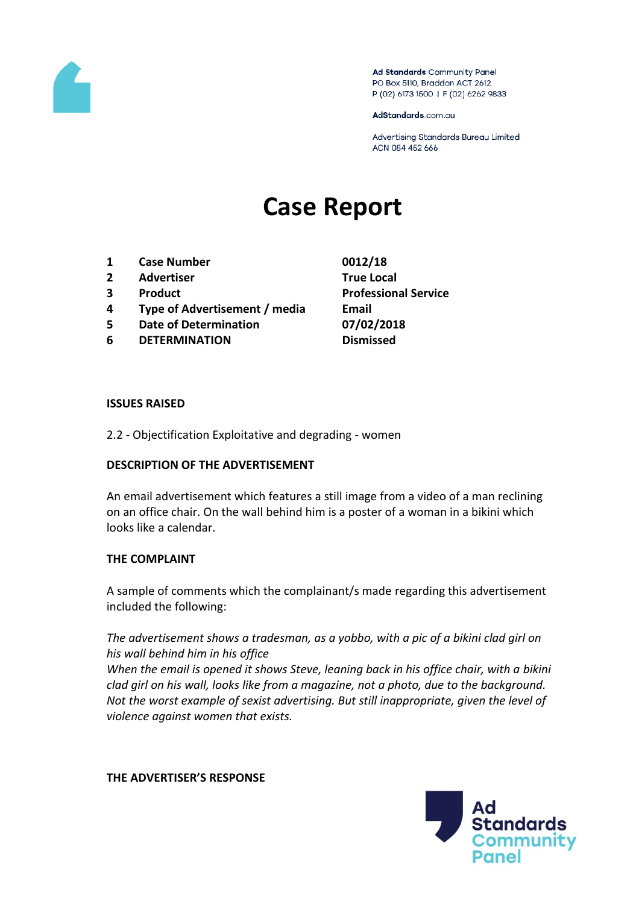

Ad Standards Community Panel PO Box 5110, Braddon ACT 2612 P (02) 6173 1500 | F (02) 6262 9833

AdStandards.com.au

Advertising Standards Bureau Limited ACN 084 452 666

# **Case Report**

- **1 Case Number 0012/18**
- **2 Advertiser True Local**
- 
- **4 Type of Advertisement / media Email**
- **5 Date of Determination 07/02/2018**
- **6 DETERMINATION Dismissed**

**3 Product Professional Service**

#### **ISSUES RAISED**

2.2 - Objectification Exploitative and degrading - women

### **DESCRIPTION OF THE ADVERTISEMENT**

An email advertisement which features a still image from a video of a man reclining on an office chair. On the wall behind him is a poster of a woman in a bikini which looks like a calendar.

### **THE COMPLAINT**

A sample of comments which the complainant/s made regarding this advertisement included the following:

*The advertisement shows a tradesman, as a yobbo, with a pic of a bikini clad girl on his wall behind him in his office*

*When the email is opened it shows Steve, leaning back in his office chair, with a bikini clad girl on his wall, looks like from a magazine, not a photo, due to the background. Not the worst example of sexist advertising. But still inappropriate, given the level of violence against women that exists.*

#### **THE ADVERTISER'S RESPONSE**

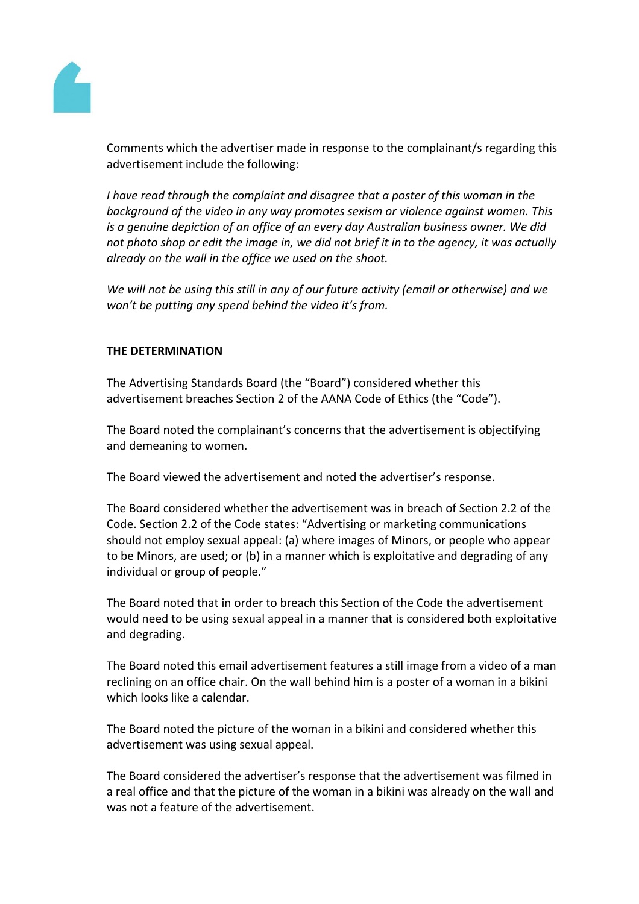

Comments which the advertiser made in response to the complainant/s regarding this advertisement include the following:

*I have read through the complaint and disagree that a poster of this woman in the background of the video in any way promotes sexism or violence against women. This is a genuine depiction of an office of an every day Australian business owner. We did not photo shop or edit the image in, we did not brief it in to the agency, it was actually already on the wall in the office we used on the shoot.*

*We will not be using this still in any of our future activity (email or otherwise) and we won't be putting any spend behind the video it's from.*

## **THE DETERMINATION**

The Advertising Standards Board (the "Board") considered whether this advertisement breaches Section 2 of the AANA Code of Ethics (the "Code").

The Board noted the complainant's concerns that the advertisement is objectifying and demeaning to women.

The Board viewed the advertisement and noted the advertiser's response.

The Board considered whether the advertisement was in breach of Section 2.2 of the Code. Section 2.2 of the Code states: "Advertising or marketing communications should not employ sexual appeal: (a) where images of Minors, or people who appear to be Minors, are used; or (b) in a manner which is exploitative and degrading of any individual or group of people."

The Board noted that in order to breach this Section of the Code the advertisement would need to be using sexual appeal in a manner that is considered both exploitative and degrading.

The Board noted this email advertisement features a still image from a video of a man reclining on an office chair. On the wall behind him is a poster of a woman in a bikini which looks like a calendar.

The Board noted the picture of the woman in a bikini and considered whether this advertisement was using sexual appeal.

The Board considered the advertiser's response that the advertisement was filmed in a real office and that the picture of the woman in a bikini was already on the wall and was not a feature of the advertisement.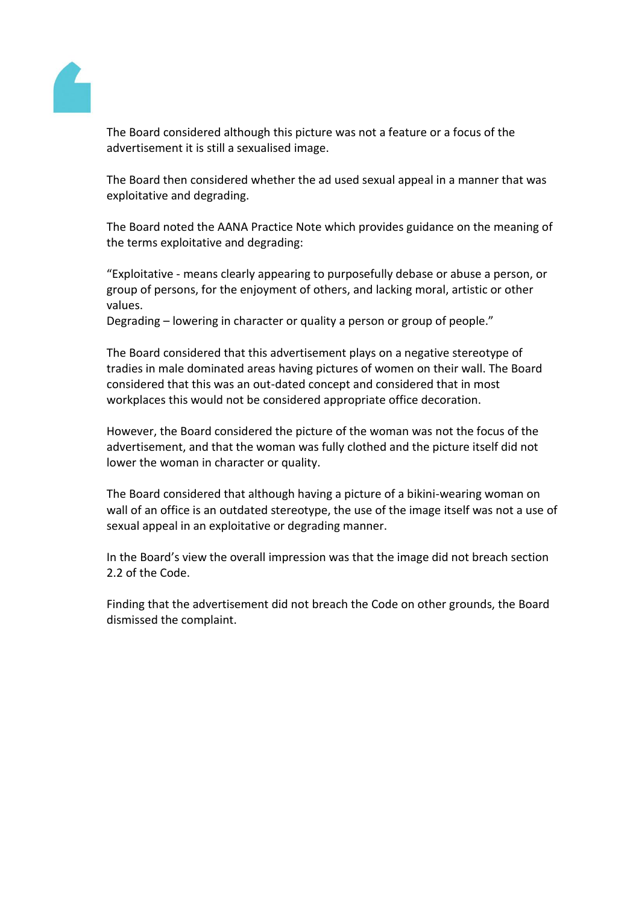

The Board considered although this picture was not a feature or a focus of the advertisement it is still a sexualised image.

The Board then considered whether the ad used sexual appeal in a manner that was exploitative and degrading.

The Board noted the AANA Practice Note which provides guidance on the meaning of the terms exploitative and degrading:

"Exploitative - means clearly appearing to purposefully debase or abuse a person, or group of persons, for the enjoyment of others, and lacking moral, artistic or other values.

Degrading – lowering in character or quality a person or group of people."

The Board considered that this advertisement plays on a negative stereotype of tradies in male dominated areas having pictures of women on their wall. The Board considered that this was an out-dated concept and considered that in most workplaces this would not be considered appropriate office decoration.

However, the Board considered the picture of the woman was not the focus of the advertisement, and that the woman was fully clothed and the picture itself did not lower the woman in character or quality.

The Board considered that although having a picture of a bikini-wearing woman on wall of an office is an outdated stereotype, the use of the image itself was not a use of sexual appeal in an exploitative or degrading manner.

In the Board's view the overall impression was that the image did not breach section 2.2 of the Code.

Finding that the advertisement did not breach the Code on other grounds, the Board dismissed the complaint.